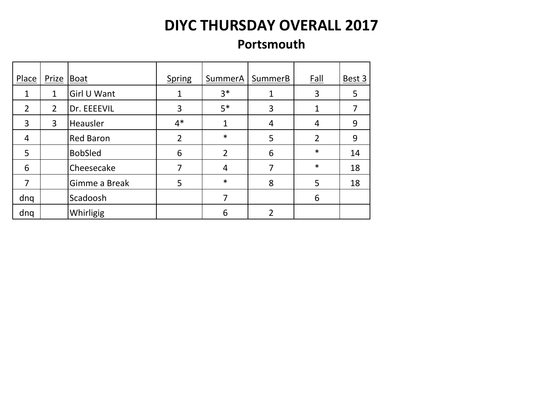#### **Portsmouth**

| Place          | Prize          | Boat             | <b>Spring</b>  | SummerA        | SummerB | <b>Fall</b>    | Best $3$ |
|----------------|----------------|------------------|----------------|----------------|---------|----------------|----------|
| 1              | $\mathbf{1}$   | Girl U Want      |                | $3*$           |         | 3              | 5        |
| $\overline{2}$ | $\overline{2}$ | Dr. EEEEVIL      | 3              | $5*$           | 3       | 1              | 7        |
| 3              | 3              | Heausler         | $4*$           |                | 4       | 4              | 9        |
| 4              |                | <b>Red Baron</b> | $\overline{2}$ | $\ast$         | 5       | $\overline{2}$ | 9        |
| 5              |                | <b>BobSled</b>   | 6              | $\overline{2}$ | 6       | $\ast$         | 14       |
| 6              |                | Cheesecake       |                | 4              |         | $\ast$         | 18       |
| 7              |                | Gimme a Break    | 5              | $\ast$         | 8       | 5              | 18       |
| dnq            |                | Scadoosh         |                | 7              |         | 6              |          |
| dnq            |                | Whirligig        |                | 6              | 2       |                |          |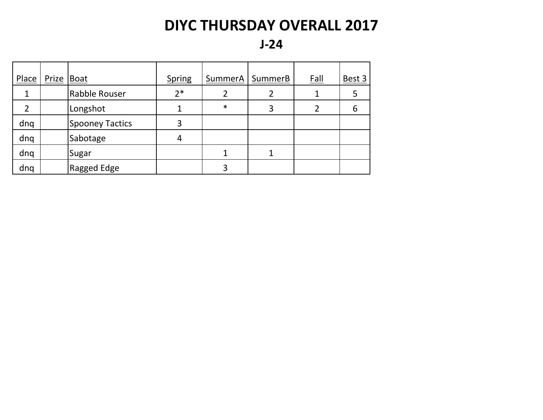**J-24**

| Place          | Prize   Boat |                        | <b>Spring</b> | SummerA | SummerB | <b>Fall</b> | Best 3 |
|----------------|--------------|------------------------|---------------|---------|---------|-------------|--------|
| 1              |              | Rabble Rouser          | $2*$          |         |         |             |        |
| $\overline{2}$ |              | Longshot               |               | $\ast$  | 3       |             | 6      |
| dnq            |              | <b>Spooney Tactics</b> | 3             |         |         |             |        |
| dnq            |              | Sabotage               | 4             |         |         |             |        |
| dnq            |              | Sugar                  |               |         |         |             |        |
| dnq            |              | Ragged Edge            |               | 3       |         |             |        |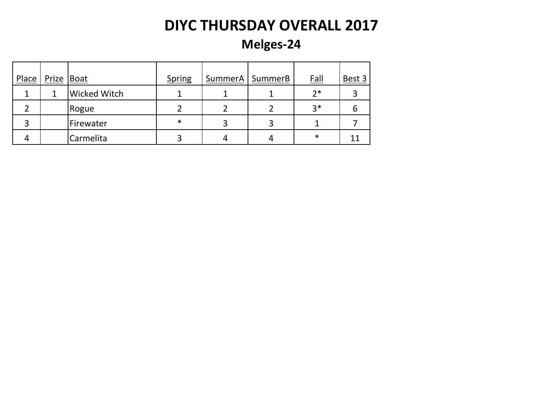**Melges-24**

| Place | Prize   Boat |                     | <b>Spring</b> | SummerA | <b>SummerB</b> | <b>Fall</b> | Best 3 |
|-------|--------------|---------------------|---------------|---------|----------------|-------------|--------|
|       |              | <b>Wicked Witch</b> |               |         |                | $2*$        |        |
|       |              | Rogue               |               |         |                | $3*$        | b      |
|       |              | Firewater           | $\ast$        |         | 3              |             |        |
|       |              | Carmelita           |               |         |                | ∗           |        |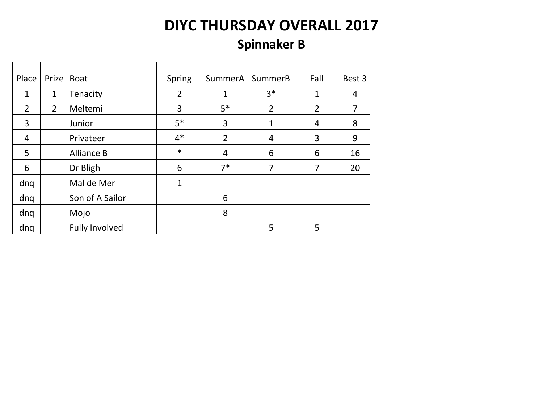### **Spinnaker B**

| Place          | Prize Boat     |                       | <b>Spring</b>  | SummerA        | SummerB        | <b>Fall</b>    | Best 3 |
|----------------|----------------|-----------------------|----------------|----------------|----------------|----------------|--------|
|                |                |                       |                |                |                |                |        |
| $\mathbf{1}$   | $\mathbf{1}$   | Tenacity              | $\overline{2}$ | 1              | $3*$           | $\mathbf{1}$   | 4      |
| $\overline{2}$ | $\overline{2}$ | Meltemi               | 3              | $5*$           | $\overline{2}$ | $\overline{2}$ |        |
| 3              |                | Junior                | $5*$           | 3              | 1              | 4              | 8      |
| 4              |                | Privateer             | $4*$           | $\overline{2}$ | 4              | 3              | 9      |
| 5              |                | <b>Alliance B</b>     | $\ast$         | 4              | 6              | 6              | 16     |
| 6              |                | Dr Bligh              | 6              | $7*$           | 7              | 7              | 20     |
| dnq            |                | Mal de Mer            | $\mathbf{1}$   |                |                |                |        |
| dnq            |                | Son of A Sailor       |                | 6              |                |                |        |
| dnq            |                | Mojo                  |                | 8              |                |                |        |
| dnq            |                | <b>Fully Involved</b> |                |                | 5              | 5              |        |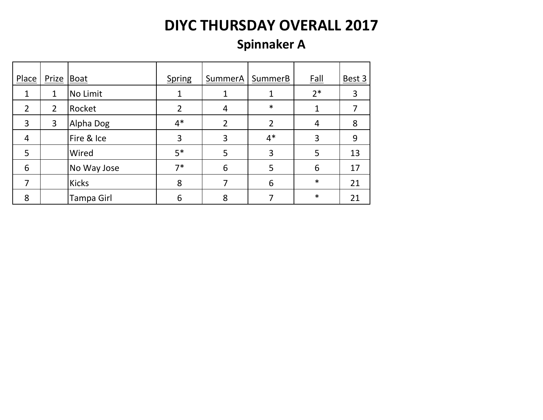### **Spinnaker A**

| Place          | Prize   Boat   |              | <b>Spring</b>  | SummerA        | SummerB        | <b>Fall</b> | Best 3 |
|----------------|----------------|--------------|----------------|----------------|----------------|-------------|--------|
| 1              | 1              | No Limit     |                |                |                | $2*$        | 3      |
| $\overline{2}$ | $\overline{2}$ | Rocket       | $\overline{2}$ | 4              | $\ast$         | 1           |        |
| 3              | 3              | Alpha Dog    | $4*$           | $\overline{2}$ | $\overline{2}$ | 4           | 8      |
| 4              |                | Fire & Ice   | 3              | 3              | $4*$           | 3           | 9      |
| 5              |                | Wired        | $5*$           | 5              | 3              | 5           | 13     |
| 6              |                | No Way Jose  | $7*$           | 6              | 5              | 6           | 17     |
| 7              |                | <b>Kicks</b> | 8              |                | 6              | $\ast$      | 21     |
| 8              |                | Tampa Girl   | 6              | 8              |                | $\ast$      | 21     |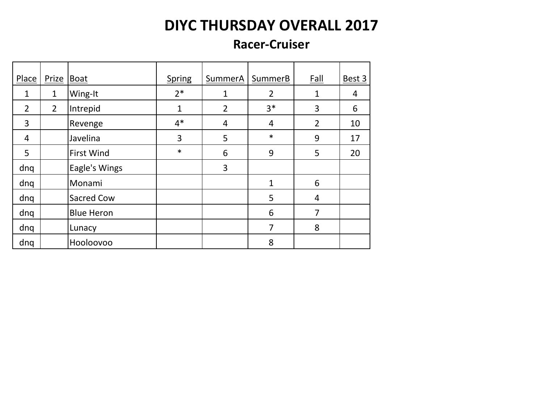#### **Racer-Cruiser**

| Place          | Prize          | Boat              | <b>Spring</b> | SummerA        | SummerB        | <b>Fall</b>    | Best 3 |
|----------------|----------------|-------------------|---------------|----------------|----------------|----------------|--------|
| 1              | $\mathbf 1$    | Wing-It           | $2*$          | 1              | $\overline{2}$ | $\mathbf{1}$   | 4      |
| $\overline{2}$ | $\overline{2}$ | Intrepid          | $\mathbf 1$   | $\overline{2}$ | $3*$           | 3              | 6      |
| 3              |                | Revenge           | $4*$          | $\overline{4}$ | 4              | $\overline{2}$ | 10     |
| 4              |                | Javelina          | 3             | 5              | $\ast$         | 9              | 17     |
| 5              |                | <b>First Wind</b> | $\ast$        | 6              | 9              | 5              | 20     |
| dnq            |                | Eagle's Wings     |               | 3              |                |                |        |
| dnq            |                | Monami            |               |                | 1              | 6              |        |
| dnq            |                | Sacred Cow        |               |                | 5              | 4              |        |
| dnq            |                | <b>Blue Heron</b> |               |                | 6              | 7              |        |
| dnq            |                | Lunacy            |               |                | 7              | 8              |        |
| dnq            |                | Hooloovoo         |               |                | 8              |                |        |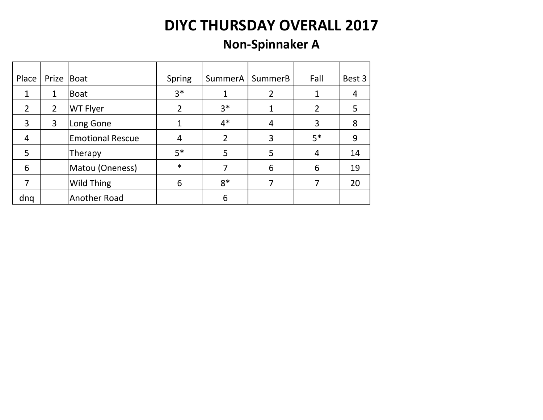#### **Non-Spinnaker A**

| Place          | Prize Boat     |                         | <b>Spring</b> | SummerA        | SummerB | Fall | Best 3 |
|----------------|----------------|-------------------------|---------------|----------------|---------|------|--------|
|                | 1              | <b>Boat</b>             | $3*$          |                |         |      |        |
| $\overline{2}$ | $\overline{2}$ | WT Flyer                | 2             | $3*$           |         | 2    | 5      |
| 3              | 3              | Long Gone               |               | $4*$           | 4       | 3    | 8      |
| 4              |                | <b>Emotional Rescue</b> | 4             | $\overline{2}$ | 3       | $5*$ | 9      |
| 5              |                | Therapy                 | $5*$          | 5              | 5       | 4    | 14     |
| 6              |                | Matou (Oneness)         | $\ast$        |                | 6       | 6    | 19     |
|                |                | Wild Thing              | 6             | $8*$           |         |      | 20     |
| dng            |                | Another Road            |               | 6              |         |      |        |